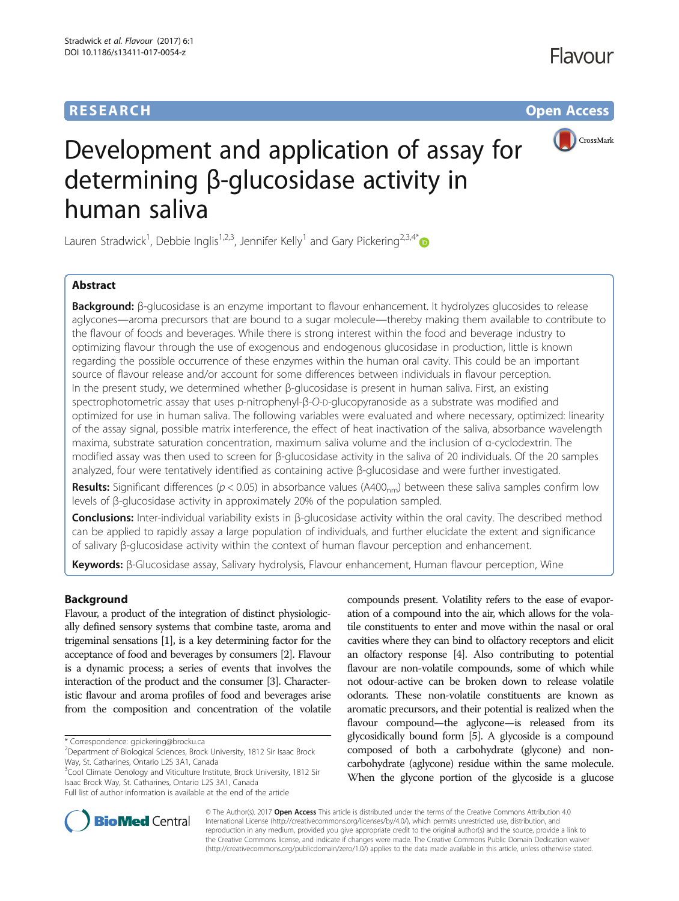# **RESEARCH CHE Open Access**



# Development and application of assay for determining β-glucosidase activity in human saliva

Lauren Stradwick<sup>1</sup>, Debbie Inglis<sup>1,2,3</sup>, Jennifer Kelly<sup>1</sup> and Gary Pickering<sup>2,3,4\*</sup>

# Abstract

Background: β-glucosidase is an enzyme important to flavour enhancement. It hydrolyzes glucosides to release aglycones—aroma precursors that are bound to a sugar molecule—thereby making them available to contribute to the flavour of foods and beverages. While there is strong interest within the food and beverage industry to optimizing flavour through the use of exogenous and endogenous glucosidase in production, little is known regarding the possible occurrence of these enzymes within the human oral cavity. This could be an important source of flavour release and/or account for some differences between individuals in flavour perception. In the present study, we determined whether β-glucosidase is present in human saliva. First, an existing spectrophotometric assay that uses p-nitrophenyl-β-O-D-glucopyranoside as a substrate was modified and optimized for use in human saliva. The following variables were evaluated and where necessary, optimized: linearity of the assay signal, possible matrix interference, the effect of heat inactivation of the saliva, absorbance wavelength maxima, substrate saturation concentration, maximum saliva volume and the inclusion of α-cyclodextrin. The modified assay was then used to screen for β-glucosidase activity in the saliva of 20 individuals. Of the 20 samples analyzed, four were tentatively identified as containing active β-glucosidase and were further investigated.

**Results:** Significant differences ( $p < 0.05$ ) in absorbance values (A400<sub>nm</sub>) between these saliva samples confirm low levels of β-glucosidase activity in approximately 20% of the population sampled.

Conclusions: Inter-individual variability exists in β-glucosidase activity within the oral cavity. The described method can be applied to rapidly assay a large population of individuals, and further elucidate the extent and significance of salivary β-glucosidase activity within the context of human flavour perception and enhancement.

Keywords: β-Glucosidase assay, Salivary hydrolysis, Flavour enhancement, Human flavour perception, Wine

# Background

Flavour, a product of the integration of distinct physiologically defined sensory systems that combine taste, aroma and trigeminal sensations [\[1\]](#page-7-0), is a key determining factor for the acceptance of food and beverages by consumers [\[2\]](#page-7-0). Flavour is a dynamic process; a series of events that involves the interaction of the product and the consumer [\[3\]](#page-7-0). Characteristic flavour and aroma profiles of food and beverages arise from the composition and concentration of the volatile

\* Correspondence: [gpickering@brocku.ca](mailto:gpickering@brocku.ca) <sup>2</sup>

<sup>3</sup>Cool Climate Oenology and Viticulture Institute, Brock University, 1812 Sir Isaac Brock Way, St. Catharines, Ontario L2S 3A1, Canada Full list of author information is available at the end of the article

compounds present. Volatility refers to the ease of evaporation of a compound into the air, which allows for the volatile constituents to enter and move within the nasal or oral cavities where they can bind to olfactory receptors and elicit an olfactory response [[4](#page-7-0)]. Also contributing to potential flavour are non-volatile compounds, some of which while not odour-active can be broken down to release volatile odorants. These non-volatile constituents are known as aromatic precursors, and their potential is realized when the flavour compound—the aglycone—is released from its glycosidically bound form [\[5\]](#page-7-0). A glycoside is a compound composed of both a carbohydrate (glycone) and noncarbohydrate (aglycone) residue within the same molecule. When the glycone portion of the glycoside is a glucose



© The Author(s). 2017 **Open Access** This article is distributed under the terms of the Creative Commons Attribution 4.0 International License [\(http://creativecommons.org/licenses/by/4.0/](http://creativecommons.org/licenses/by/4.0/)), which permits unrestricted use, distribution, and reproduction in any medium, provided you give appropriate credit to the original author(s) and the source, provide a link to the Creative Commons license, and indicate if changes were made. The Creative Commons Public Domain Dedication waiver [\(http://creativecommons.org/publicdomain/zero/1.0/](http://creativecommons.org/publicdomain/zero/1.0/)) applies to the data made available in this article, unless otherwise stated.

<sup>&</sup>lt;sup>2</sup>Department of Biological Sciences, Brock University, 1812 Sir Isaac Brock Way, St. Catharines, Ontario L2S 3A1, Canada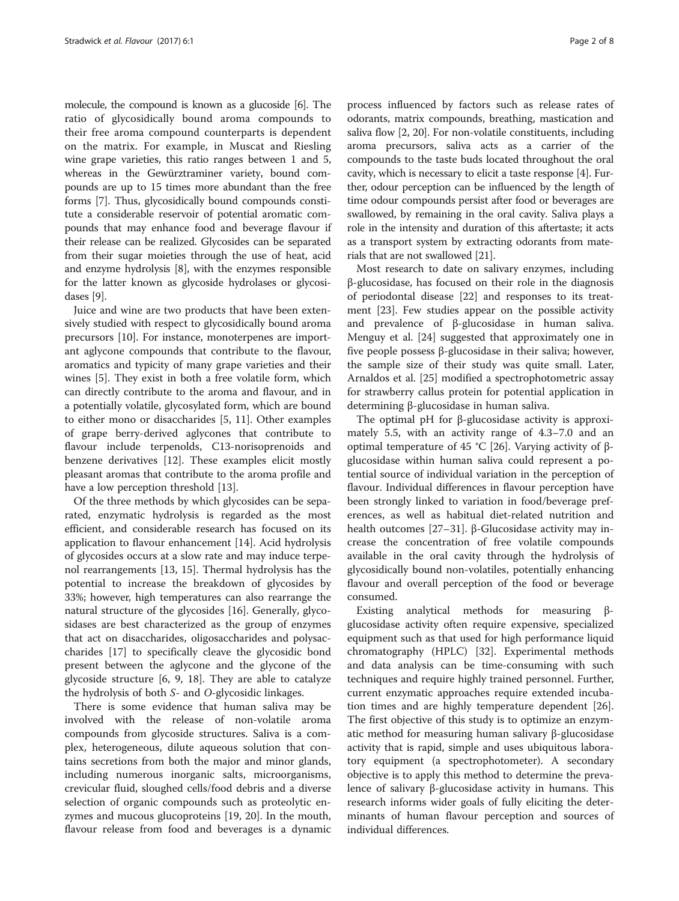molecule, the compound is known as a glucoside [\[6\]](#page-7-0). The ratio of glycosidically bound aroma compounds to their free aroma compound counterparts is dependent on the matrix. For example, in Muscat and Riesling wine grape varieties, this ratio ranges between 1 and 5, whereas in the Gewürztraminer variety, bound compounds are up to 15 times more abundant than the free forms [[7\]](#page-7-0). Thus, glycosidically bound compounds constitute a considerable reservoir of potential aromatic compounds that may enhance food and beverage flavour if their release can be realized. Glycosides can be separated from their sugar moieties through the use of heat, acid and enzyme hydrolysis [\[8](#page-7-0)], with the enzymes responsible for the latter known as glycoside hydrolases or glycosidases [[9](#page-7-0)].

Juice and wine are two products that have been extensively studied with respect to glycosidically bound aroma precursors [\[10](#page-7-0)]. For instance, monoterpenes are important aglycone compounds that contribute to the flavour, aromatics and typicity of many grape varieties and their wines [\[5](#page-7-0)]. They exist in both a free volatile form, which can directly contribute to the aroma and flavour, and in a potentially volatile, glycosylated form, which are bound to either mono or disaccharides [[5, 11](#page-7-0)]. Other examples of grape berry-derived aglycones that contribute to flavour include terpenolds, C13-norisoprenoids and benzene derivatives [\[12](#page-7-0)]. These examples elicit mostly pleasant aromas that contribute to the aroma profile and have a low perception threshold [\[13\]](#page-7-0).

Of the three methods by which glycosides can be separated, enzymatic hydrolysis is regarded as the most efficient, and considerable research has focused on its application to flavour enhancement [\[14\]](#page-7-0). Acid hydrolysis of glycosides occurs at a slow rate and may induce terpenol rearrangements [[13, 15\]](#page-7-0). Thermal hydrolysis has the potential to increase the breakdown of glycosides by 33%; however, high temperatures can also rearrange the natural structure of the glycosides [\[16\]](#page-7-0). Generally, glycosidases are best characterized as the group of enzymes that act on disaccharides, oligosaccharides and polysaccharides [\[17](#page-7-0)] to specifically cleave the glycosidic bond present between the aglycone and the glycone of the glycoside structure [\[6](#page-7-0), [9](#page-7-0), [18\]](#page-7-0). They are able to catalyze the hydrolysis of both S- and O-glycosidic linkages.

There is some evidence that human saliva may be involved with the release of non-volatile aroma compounds from glycoside structures. Saliva is a complex, heterogeneous, dilute aqueous solution that contains secretions from both the major and minor glands, including numerous inorganic salts, microorganisms, crevicular fluid, sloughed cells/food debris and a diverse selection of organic compounds such as proteolytic enzymes and mucous glucoproteins [\[19, 20\]](#page-7-0). In the mouth, flavour release from food and beverages is a dynamic process influenced by factors such as release rates of odorants, matrix compounds, breathing, mastication and saliva flow [\[2](#page-7-0), [20\]](#page-7-0). For non-volatile constituents, including aroma precursors, saliva acts as a carrier of the compounds to the taste buds located throughout the oral cavity, which is necessary to elicit a taste response [[4\]](#page-7-0). Further, odour perception can be influenced by the length of time odour compounds persist after food or beverages are swallowed, by remaining in the oral cavity. Saliva plays a role in the intensity and duration of this aftertaste; it acts as a transport system by extracting odorants from materials that are not swallowed [[21\]](#page-7-0).

Most research to date on salivary enzymes, including β-glucosidase, has focused on their role in the diagnosis of periodontal disease [\[22\]](#page-7-0) and responses to its treatment [[23\]](#page-7-0). Few studies appear on the possible activity and prevalence of β-glucosidase in human saliva. Menguy et al. [[24](#page-7-0)] suggested that approximately one in five people possess β-glucosidase in their saliva; however, the sample size of their study was quite small. Later, Arnaldos et al. [\[25](#page-7-0)] modified a spectrophotometric assay for strawberry callus protein for potential application in determining β-glucosidase in human saliva.

The optimal pH for β-glucosidase activity is approximately 5.5, with an activity range of 4.3–7.0 and an optimal temperature of 45 °C [[26\]](#page-7-0). Varying activity of βglucosidase within human saliva could represent a potential source of individual variation in the perception of flavour. Individual differences in flavour perception have been strongly linked to variation in food/beverage preferences, as well as habitual diet-related nutrition and health outcomes [\[27](#page-7-0)–[31\]](#page-7-0). β-Glucosidase activity may increase the concentration of free volatile compounds available in the oral cavity through the hydrolysis of glycosidically bound non-volatiles, potentially enhancing flavour and overall perception of the food or beverage consumed.

Existing analytical methods for measuring βglucosidase activity often require expensive, specialized equipment such as that used for high performance liquid chromatography (HPLC) [\[32](#page-7-0)]. Experimental methods and data analysis can be time-consuming with such techniques and require highly trained personnel. Further, current enzymatic approaches require extended incubation times and are highly temperature dependent [\[26](#page-7-0)]. The first objective of this study is to optimize an enzymatic method for measuring human salivary β-glucosidase activity that is rapid, simple and uses ubiquitous laboratory equipment (a spectrophotometer). A secondary objective is to apply this method to determine the prevalence of salivary β-glucosidase activity in humans. This research informs wider goals of fully eliciting the determinants of human flavour perception and sources of individual differences.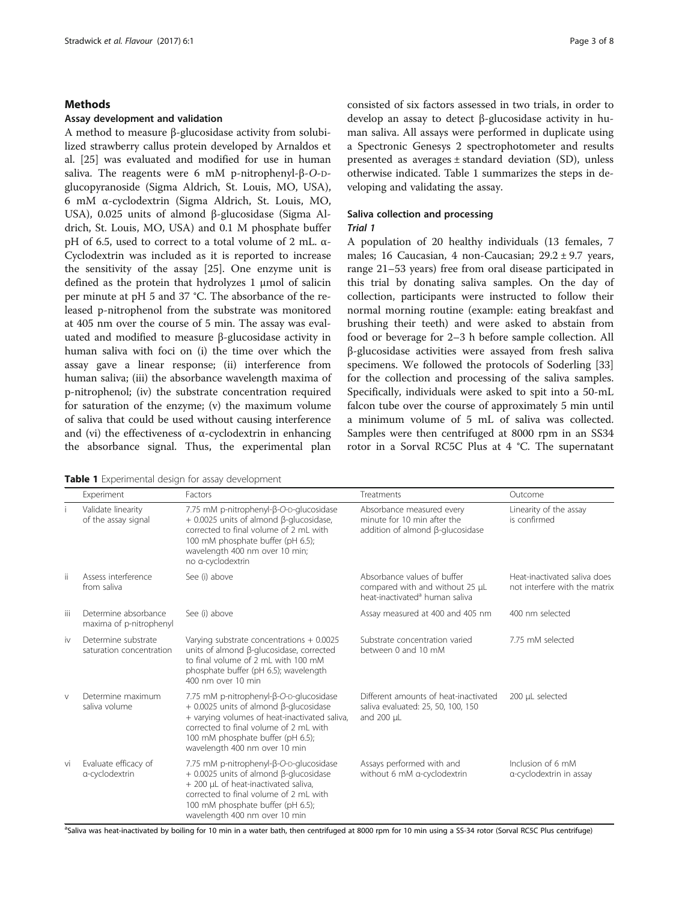#### Stradwick et al. Flavour (2017) 6:1 Page 3 of 8

#### Methods

#### Assay development and validation

A method to measure β-glucosidase activity from solubilized strawberry callus protein developed by Arnaldos et al. [[25](#page-7-0)] was evaluated and modified for use in human saliva. The reagents were 6 mM p-nitrophenyl-β-O-Dglucopyranoside (Sigma Aldrich, St. Louis, MO, USA), 6 mM α-cyclodextrin (Sigma Aldrich, St. Louis, MO, USA), 0.025 units of almond β-glucosidase (Sigma Aldrich, St. Louis, MO, USA) and 0.1 M phosphate buffer pH of 6.5, used to correct to a total volume of 2 mL. α-Cyclodextrin was included as it is reported to increase the sensitivity of the assay [\[25\]](#page-7-0). One enzyme unit is defined as the protein that hydrolyzes 1 μmol of salicin per minute at pH 5 and 37 °C. The absorbance of the released p-nitrophenol from the substrate was monitored at 405 nm over the course of 5 min. The assay was evaluated and modified to measure β-glucosidase activity in human saliva with foci on (i) the time over which the assay gave a linear response; (ii) interference from human saliva; (iii) the absorbance wavelength maxima of p-nitrophenol; (iv) the substrate concentration required for saturation of the enzyme; (v) the maximum volume of saliva that could be used without causing interference and (vi) the effectiveness of  $\alpha$ -cyclodextrin in enhancing the absorbance signal. Thus, the experimental plan

Table 1 Experimental design for assay development

consisted of six factors assessed in two trials, in order to develop an assay to detect β-glucosidase activity in human saliva. All assays were performed in duplicate using a Spectronic Genesys 2 spectrophotometer and results presented as averages ± standard deviation (SD), unless otherwise indicated. Table 1 summarizes the steps in developing and validating the assay.

# Saliva collection and processing

# Trial 1

A population of 20 healthy individuals (13 females, 7 males; 16 Caucasian, 4 non-Caucasian; 29.2 ± 9.7 years, range 21–53 years) free from oral disease participated in this trial by donating saliva samples. On the day of collection, participants were instructed to follow their normal morning routine (example: eating breakfast and brushing their teeth) and were asked to abstain from food or beverage for 2–3 h before sample collection. All β-glucosidase activities were assayed from fresh saliva specimens. We followed the protocols of Soderling [[33](#page-7-0)] for the collection and processing of the saliva samples. Specifically, individuals were asked to spit into a 50-mL falcon tube over the course of approximately 5 min until a minimum volume of 5 mL of saliva was collected. Samples were then centrifuged at 8000 rpm in an SS34 rotor in a Sorval RC5C Plus at 4 °C. The supernatant

|        | Experiment                                      | Factors                                                                                                                                                                                                                                                     | Treatments                                                                                                   | Outcome                                                       |
|--------|-------------------------------------------------|-------------------------------------------------------------------------------------------------------------------------------------------------------------------------------------------------------------------------------------------------------------|--------------------------------------------------------------------------------------------------------------|---------------------------------------------------------------|
|        | Validate linearity<br>of the assay signal       | 7.75 mM p-nitrophenyl-ß-O-p-glucosidase<br>+ 0.0025 units of almond β-glucosidase,<br>corrected to final volume of 2 mL with<br>100 mM phosphate buffer (pH 6.5);<br>wavelength 400 nm over 10 min;<br>no a-cyclodextrin                                    | Absorbance measured every<br>minute for 10 min after the<br>addition of almond ß-glucosidase                 | Linearity of the assay<br>is confirmed                        |
| ji     | Assess interference<br>from saliva              | See (i) above                                                                                                                                                                                                                                               | Absorbance values of buffer<br>compared with and without 25 µL<br>heat-inactivated <sup>a</sup> human saliva | Heat-inactivated saliva does<br>not interfere with the matrix |
| iii    | Determine absorbance<br>maxima of p-nitrophenyl | See (i) above                                                                                                                                                                                                                                               | Assay measured at 400 and 405 nm                                                                             | 400 nm selected                                               |
| iv     | Determine substrate<br>saturation concentration | Varying substrate concentrations $+0.0025$<br>units of almond β-glucosidase, corrected<br>to final volume of 2 mL with 100 mM<br>phosphate buffer (pH 6.5); wavelength<br>400 nm over 10 min                                                                | Substrate concentration varied<br>between 0 and 10 mM                                                        | 7.75 mM selected                                              |
| $\vee$ | Determine maximum<br>saliva volume              | 7.75 mM p-nitrophenyl-β-O-p-glucosidase<br>$+$ 0.0025 units of almond $\beta$ -glucosidase<br>+ varying volumes of heat-inactivated saliva,<br>corrected to final volume of 2 ml with<br>100 mM phosphate buffer (pH 6.5);<br>wavelength 400 nm over 10 min | Different amounts of heat-inactivated<br>saliva evaluated: 25, 50, 100, 150<br>and 200 µL                    | 200 µL selected                                               |
| vi     | Evaluate efficacy of<br>a-cyclodextrin          | 7.75 mM p-nitrophenyl-β-O-p-glucosidase<br>$+$ 0.0025 units of almond $\beta$ -glucosidase<br>+ 200 µL of heat-inactivated saliva,<br>corrected to final volume of 2 ml with<br>100 mM phosphate buffer (pH 6.5);<br>wavelength 400 nm over 10 min          | Assays performed with and<br>without 6 mM a-cyclodextrin                                                     | Inclusion of 6 mM<br>a-cyclodextrin in assay                  |

a<br>Saliva was heat-inactivated by boiling for 10 min in a water bath, then centrifuged at 8000 rpm for 10 min using a SS-34 rotor (Sorval RC5C Plus centrifuge)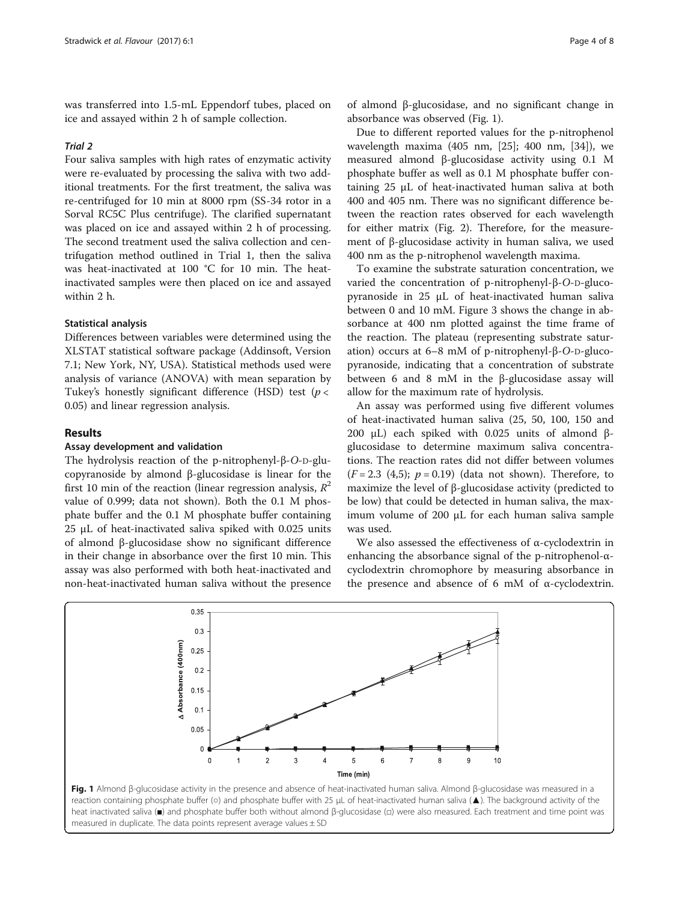was transferred into 1.5-mL Eppendorf tubes, placed on ice and assayed within 2 h of sample collection.

#### Trial 2

Four saliva samples with high rates of enzymatic activity were re-evaluated by processing the saliva with two additional treatments. For the first treatment, the saliva was re-centrifuged for 10 min at 8000 rpm (SS-34 rotor in a Sorval RC5C Plus centrifuge). The clarified supernatant was placed on ice and assayed within 2 h of processing. The second treatment used the saliva collection and centrifugation method outlined in Trial 1, then the saliva was heat-inactivated at 100 °C for 10 min. The heatinactivated samples were then placed on ice and assayed within 2 h.

#### Statistical analysis

Differences between variables were determined using the XLSTAT statistical software package (Addinsoft, Version 7.1; New York, NY, USA). Statistical methods used were analysis of variance (ANOVA) with mean separation by Tukey's honestly significant difference (HSD) test ( $p <$ 0.05) and linear regression analysis.

#### Results

#### Assay development and validation

The hydrolysis reaction of the p-nitrophenyl-β-O-D-glucopyranoside by almond β-glucosidase is linear for the first 10 min of the reaction (linear regression analysis,  $R^2$ value of 0.999; data not shown). Both the 0.1 M phosphate buffer and the 0.1 M phosphate buffer containing 25 μL of heat-inactivated saliva spiked with 0.025 units of almond β-glucosidase show no significant difference in their change in absorbance over the first 10 min. This assay was also performed with both heat-inactivated and non-heat-inactivated human saliva without the presence

of almond β-glucosidase, and no significant change in absorbance was observed (Fig. 1).

Due to different reported values for the p-nitrophenol wavelength maxima (405 nm, [[25\]](#page-7-0); 400 nm, [[34\]](#page-7-0)), we measured almond β-glucosidase activity using 0.1 M phosphate buffer as well as 0.1 M phosphate buffer containing 25 μL of heat-inactivated human saliva at both 400 and 405 nm. There was no significant difference between the reaction rates observed for each wavelength for either matrix (Fig. [2\)](#page-4-0). Therefore, for the measurement of β-glucosidase activity in human saliva, we used 400 nm as the p-nitrophenol wavelength maxima.

To examine the substrate saturation concentration, we varied the concentration of p-nitrophenyl-β-O-D-glucopyranoside in 25 μL of heat-inactivated human saliva between 0 and 10 mM. Figure [3](#page-4-0) shows the change in absorbance at 400 nm plotted against the time frame of the reaction. The plateau (representing substrate saturation) occurs at 6–8 mM of p-nitrophenyl-β-O-D-glucopyranoside, indicating that a concentration of substrate between 6 and 8 mM in the β-glucosidase assay will allow for the maximum rate of hydrolysis.

An assay was performed using five different volumes of heat-inactivated human saliva (25, 50, 100, 150 and 200 μL) each spiked with 0.025 units of almond βglucosidase to determine maximum saliva concentrations. The reaction rates did not differ between volumes  $(F = 2.3 \ (4.5); p = 0.19)$  (data not shown). Therefore, to maximize the level of β-glucosidase activity (predicted to be low) that could be detected in human saliva, the maximum volume of 200 μL for each human saliva sample was used.

We also assessed the effectiveness of α-cyclodextrin in enhancing the absorbance signal of the p-nitrophenol-αcyclodextrin chromophore by measuring absorbance in the presence and absence of 6 mM of α-cyclodextrin.



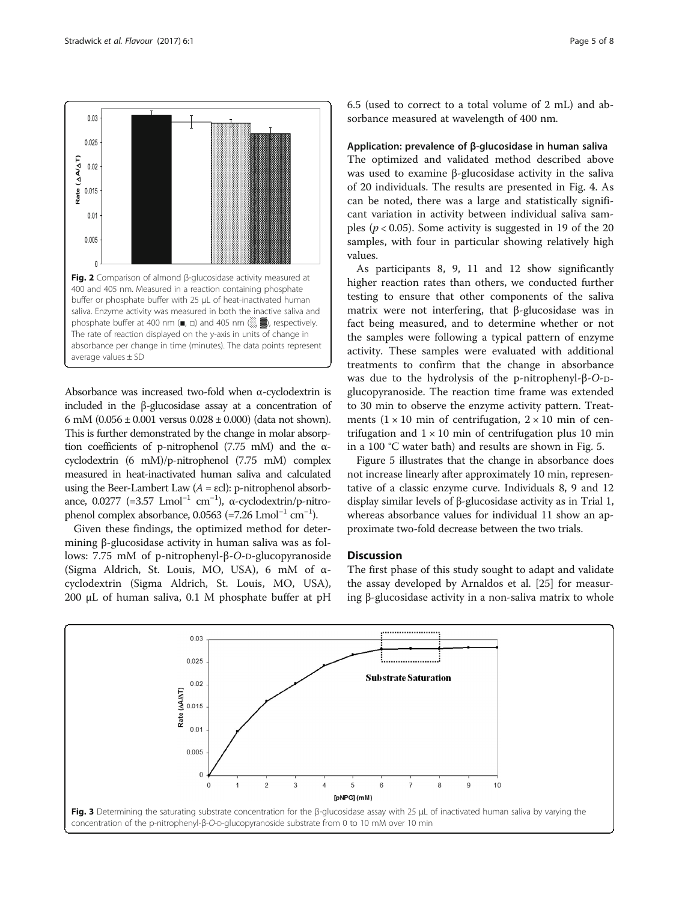<span id="page-4-0"></span>

Absorbance was increased two-fold when α-cyclodextrin is included in the β-glucosidase assay at a concentration of 6 mM (0.056  $\pm$  0.001 versus 0.028  $\pm$  0.000) (data not shown). This is further demonstrated by the change in molar absorption coefficients of p-nitrophenol (7.75 mM) and the αcyclodextrin (6 mM)/p-nitrophenol (7.75 mM) complex measured in heat-inactivated human saliva and calculated using the Beer-Lambert Law  $(A = \varepsilon c!)$ : p-nitrophenol absorbance, 0.0277 (=3.57 Lmol<sup>-1</sup> cm<sup>-1</sup>), α-cyclodextrin/p-nitrophenol complex absorbance, 0.0563 (=7.26 Lmol<sup>-1</sup> cm<sup>-1</sup>).

Given these findings, the optimized method for determining β-glucosidase activity in human saliva was as follows: 7.75 mM of p-nitrophenyl-β-O-D-glucopyranoside (Sigma Aldrich, St. Louis, MO, USA), 6 mM of αcyclodextrin (Sigma Aldrich, St. Louis, MO, USA), 200 μL of human saliva, 0.1 M phosphate buffer at pH 6.5 (used to correct to a total volume of 2 mL) and absorbance measured at wavelength of 400 nm.

#### Application: prevalence of β-glucosidase in human saliva

The optimized and validated method described above was used to examine β-glucosidase activity in the saliva of 20 individuals. The results are presented in Fig. [4](#page-5-0). As can be noted, there was a large and statistically significant variation in activity between individual saliva samples ( $p < 0.05$ ). Some activity is suggested in 19 of the 20 samples, with four in particular showing relatively high values.

As participants 8, 9, 11 and 12 show significantly higher reaction rates than others, we conducted further testing to ensure that other components of the saliva matrix were not interfering, that β-glucosidase was in fact being measured, and to determine whether or not the samples were following a typical pattern of enzyme activity. These samples were evaluated with additional treatments to confirm that the change in absorbance was due to the hydrolysis of the p-nitrophenyl-β-O-Dglucopyranoside. The reaction time frame was extended to 30 min to observe the enzyme activity pattern. Treatments  $(1 \times 10$  min of centrifugation,  $2 \times 10$  min of centrifugation and  $1 \times 10$  min of centrifugation plus 10 min in a 100 °C water bath) and results are shown in Fig. [5](#page-5-0).

Figure [5](#page-5-0) illustrates that the change in absorbance does not increase linearly after approximately 10 min, representative of a classic enzyme curve. Individuals 8, 9 and 12 display similar levels of β-glucosidase activity as in Trial 1, whereas absorbance values for individual 11 show an approximate two-fold decrease between the two trials.

### **Discussion**

The first phase of this study sought to adapt and validate the assay developed by Arnaldos et al. [[25\]](#page-7-0) for measuring β-glucosidase activity in a non-saliva matrix to whole

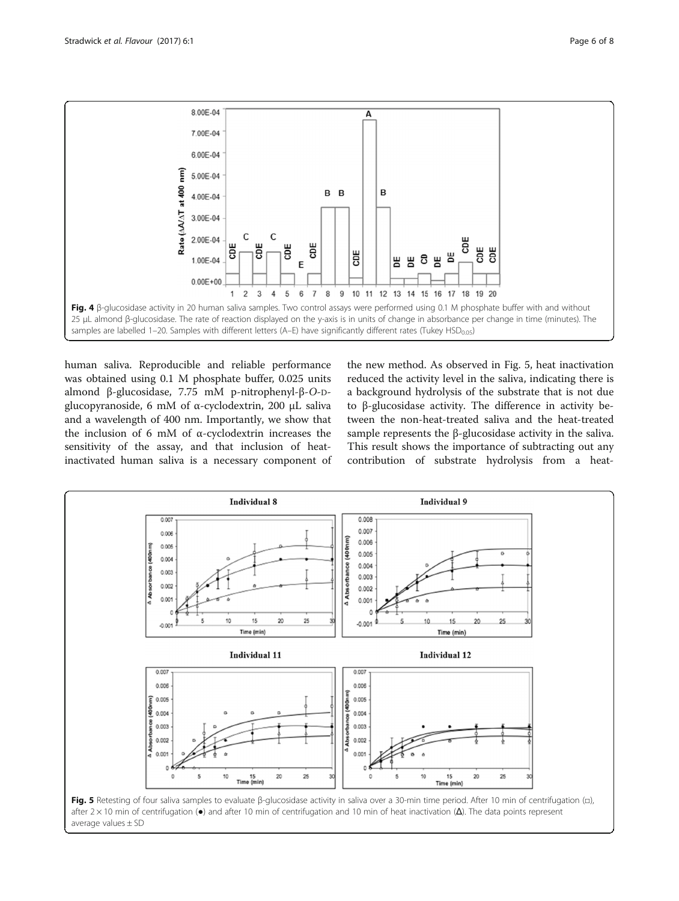<span id="page-5-0"></span>

human saliva. Reproducible and reliable performance was obtained using 0.1 M phosphate buffer, 0.025 units almond β-glucosidase, 7.75 mM p-nitrophenyl-β-O-Dglucopyranoside, 6 mM of α-cyclodextrin, 200 μL saliva and a wavelength of 400 nm. Importantly, we show that the inclusion of 6 mM of α-cyclodextrin increases the sensitivity of the assay, and that inclusion of heatinactivated human saliva is a necessary component of the new method. As observed in Fig. 5, heat inactivation reduced the activity level in the saliva, indicating there is a background hydrolysis of the substrate that is not due to β-glucosidase activity. The difference in activity between the non-heat-treated saliva and the heat-treated sample represents the β-glucosidase activity in the saliva. This result shows the importance of subtracting out any contribution of substrate hydrolysis from a heat-

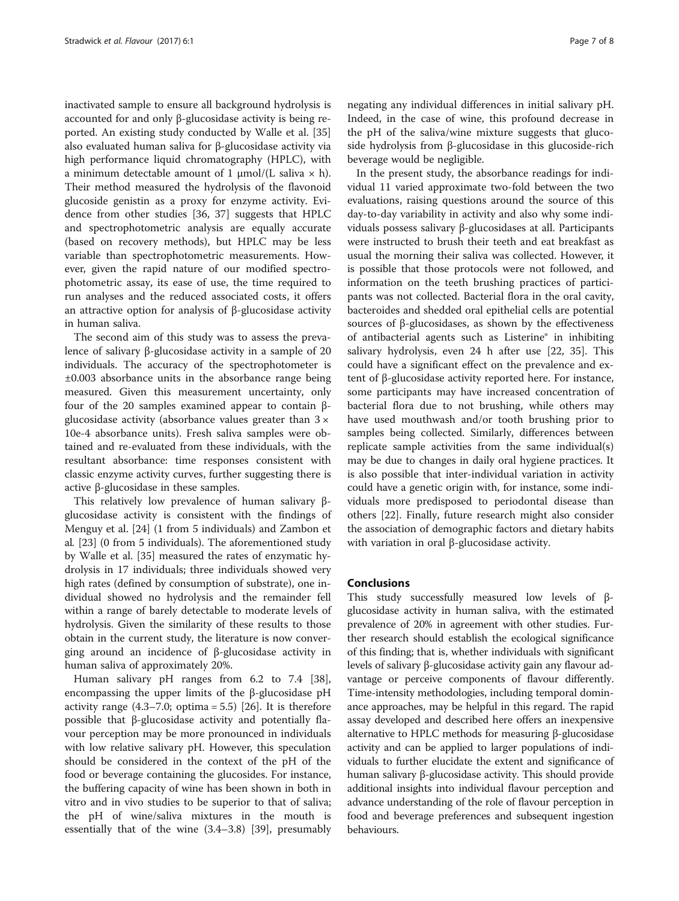inactivated sample to ensure all background hydrolysis is accounted for and only β-glucosidase activity is being reported. An existing study conducted by Walle et al. [[35](#page-7-0)] also evaluated human saliva for β-glucosidase activity via high performance liquid chromatography (HPLC), with a minimum detectable amount of 1 μmol/(L saliva  $\times$  h). Their method measured the hydrolysis of the flavonoid glucoside genistin as a proxy for enzyme activity. Evidence from other studies [[36, 37](#page-7-0)] suggests that HPLC and spectrophotometric analysis are equally accurate (based on recovery methods), but HPLC may be less variable than spectrophotometric measurements. However, given the rapid nature of our modified spectrophotometric assay, its ease of use, the time required to run analyses and the reduced associated costs, it offers an attractive option for analysis of β-glucosidase activity in human saliva.

The second aim of this study was to assess the prevalence of salivary β-glucosidase activity in a sample of 20 individuals. The accuracy of the spectrophotometer is ±0.003 absorbance units in the absorbance range being measured. Given this measurement uncertainty, only four of the 20 samples examined appear to contain βglucosidase activity (absorbance values greater than  $3 \times$ 10e-4 absorbance units). Fresh saliva samples were obtained and re-evaluated from these individuals, with the resultant absorbance: time responses consistent with classic enzyme activity curves, further suggesting there is active β-glucosidase in these samples.

This relatively low prevalence of human salivary βglucosidase activity is consistent with the findings of Menguy et al. [[24\]](#page-7-0) (1 from 5 individuals) and Zambon et al. [[23\]](#page-7-0) (0 from 5 individuals). The aforementioned study by Walle et al. [\[35](#page-7-0)] measured the rates of enzymatic hydrolysis in 17 individuals; three individuals showed very high rates (defined by consumption of substrate), one individual showed no hydrolysis and the remainder fell within a range of barely detectable to moderate levels of hydrolysis. Given the similarity of these results to those obtain in the current study, the literature is now converging around an incidence of β-glucosidase activity in human saliva of approximately 20%.

Human salivary pH ranges from 6.2 to 7.4 [\[38](#page-7-0)], encompassing the upper limits of the β-glucosidase pH activity range  $(4.3-7.0;$  optima = 5.5) [[26\]](#page-7-0). It is therefore possible that β-glucosidase activity and potentially flavour perception may be more pronounced in individuals with low relative salivary pH. However, this speculation should be considered in the context of the pH of the food or beverage containing the glucosides. For instance, the buffering capacity of wine has been shown in both in vitro and in vivo studies to be superior to that of saliva; the pH of wine/saliva mixtures in the mouth is essentially that of the wine (3.4–3.8) [\[39](#page-7-0)], presumably

negating any individual differences in initial salivary pH. Indeed, in the case of wine, this profound decrease in the pH of the saliva/wine mixture suggests that glucoside hydrolysis from β-glucosidase in this glucoside-rich beverage would be negligible.

In the present study, the absorbance readings for individual 11 varied approximate two-fold between the two evaluations, raising questions around the source of this day-to-day variability in activity and also why some individuals possess salivary β-glucosidases at all. Participants were instructed to brush their teeth and eat breakfast as usual the morning their saliva was collected. However, it is possible that those protocols were not followed, and information on the teeth brushing practices of participants was not collected. Bacterial flora in the oral cavity, bacteroides and shedded oral epithelial cells are potential sources of β-glucosidases, as shown by the effectiveness of antibacterial agents such as Listerine® in inhibiting salivary hydrolysis, even 24 h after use [\[22, 35\]](#page-7-0). This could have a significant effect on the prevalence and extent of β-glucosidase activity reported here. For instance, some participants may have increased concentration of bacterial flora due to not brushing, while others may have used mouthwash and/or tooth brushing prior to samples being collected. Similarly, differences between replicate sample activities from the same individual(s) may be due to changes in daily oral hygiene practices. It is also possible that inter-individual variation in activity could have a genetic origin with, for instance, some individuals more predisposed to periodontal disease than others [\[22](#page-7-0)]. Finally, future research might also consider the association of demographic factors and dietary habits with variation in oral β-glucosidase activity.

# Conclusions

This study successfully measured low levels of βglucosidase activity in human saliva, with the estimated prevalence of 20% in agreement with other studies. Further research should establish the ecological significance of this finding; that is, whether individuals with significant levels of salivary β-glucosidase activity gain any flavour advantage or perceive components of flavour differently. Time-intensity methodologies, including temporal dominance approaches, may be helpful in this regard. The rapid assay developed and described here offers an inexpensive alternative to HPLC methods for measuring β-glucosidase activity and can be applied to larger populations of individuals to further elucidate the extent and significance of human salivary β-glucosidase activity. This should provide additional insights into individual flavour perception and advance understanding of the role of flavour perception in food and beverage preferences and subsequent ingestion behaviours.